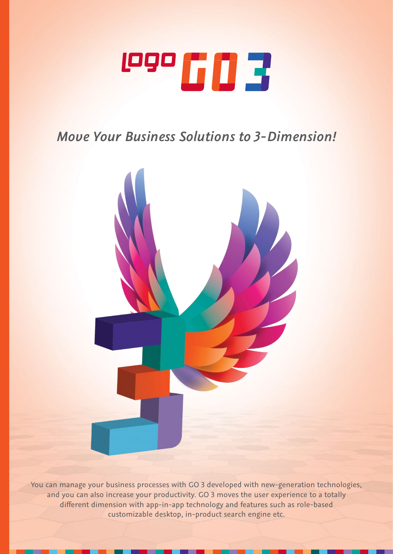

# *Move Your Business Solutions to 3-Dimension!*



You can manage your business processes with GO 3 developed with new-generation technologies, and you can also increase your productivity. GO 3 moves the user experience to a totally different dimension with app-in-app technology and features such as role-based customizable desktop, in-product search engine etc.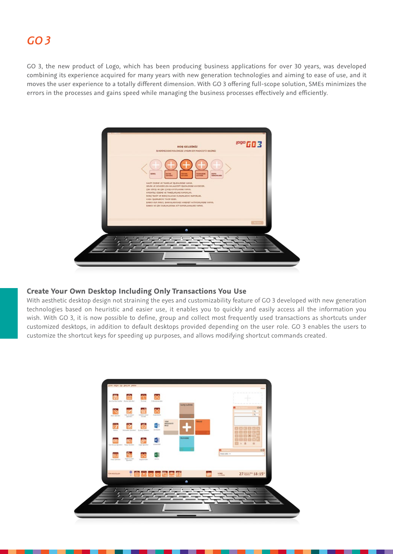# *GO 3*

GO 3, the new product of Logo, which has been producing business applications for over 30 years, was developed combining its experience acquired for many years with new generation technologies and aiming to ease of use, and it moves the user experience to a totally different dimension. With GO 3 offering full-scope solution, SMEs minimizes the errors in the processes and gains speed while managing the business processes effectively and efficiently.



# **Create Your Own Desktop Including Only Transactions You Use**

With aesthetic desktop design not straining the eyes and customizability feature of GO 3 developed with new generation technologies based on heuristic and easier use, it enables you to quickly and easily access all the information you wish. With GO 3, it is now possible to define, group and collect most frequently used transactions as shortcuts under customized desktops, in addition to default desktops provided depending on the user role. GO 3 enables the users to customize the shortcut keys for speeding up purposes, and allows modifying shortcut commands created.

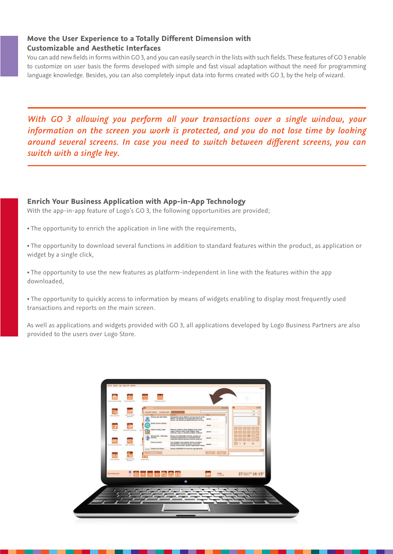# **Move the User Experience to a Totally Different Dimension with Customizable and Aesthetic Interfaces**

You can add new fields in forms within GO 3, and you can easily search in the lists with such fields. These features of GO 3 enable to customize on user basis the forms developed with simple and fast visual adaptation without the need for programming language knowledge. Besides, you can also completely input data into forms created with GO 3, by the help of wizard.

*With GO 3 allowing you perform all your transactions over a single window, your information on the screen you work is protected, and you do not lose time by looking around several screens. In case you need to switch between different screens, you can switch with a single key.*

**Enrich Your Business Application with App-in-App Technology** With the app-in-app feature of Logo's GO 3, the following opportunities are provided;

- The opportunity to enrich the application in line with the requirements,
- The opportunity to download several functions in addition to standard features within the product, as application or widget by a single click,

• The opportunity to use the new features as platform-independent in line with the features within the app downloaded,

• The opportunity to quickly access to information by means of widgets enabling to display most frequently used transactions and reports on the main screen.

As well as applications and widgets provided with GO 3, all applications developed by Logo Business Partners are also provided to the users over Logo Store.

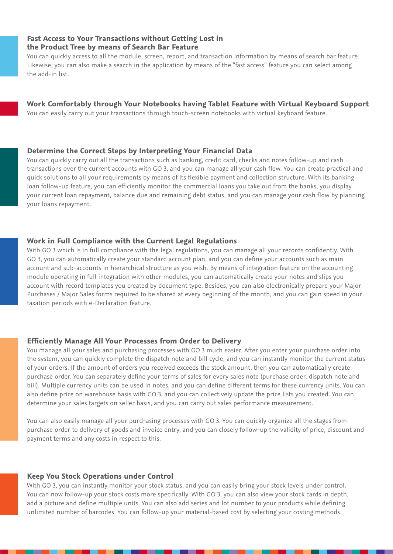# **Fast Access to Your Transactions without Getting Lost in the Product Tree by means of Search Bar Feature**

You can quickly access to all the module, screen, report, and transaction information by means of search bar feature. Likewise, you can also make a search in the application by means of the "fast access" feature you can select among the add-in list.

# **Work Comfortably through Your Notebooks having Tablet Feature with Virtual Keyboard Support**

You can easily carry out your transactions through touch-screen notebooks with virtual keyboard feature.

#### **Determine the Correct Steps by Interpreting Your Financial Data**

You can quickly carry out all the transactions such as banking, credit card, checks and notes follow-up and cash transactions over the current accounts with GO 3, and you can manage all your cash flow. You can create practical and quick solutions to all your requirements by means of its flexible payment and collection structure. With its banking loan follow-up feature, you can efficiently monitor the commercial loans you take out from the banks, you display your current loan repayment, balance due and remaining debt status, and you can manage your cash flow by planning your loans repayment.

#### **Work in Full Compliance with the Current Legal Regulations**

With GO 3 which is in full compliance with the legal regulations, you can manage all your records confidently. With GO 3, you can automatically create your standard account plan, and you can define your accounts such as main account and sub-accounts in hierarchical structure as you wish. By means of integration feature on the accounting module operating in full integration with other modules, you can automatically create your notes and slips you account with record templates you created by document type. Besides, you can also electronically prepare your Major Purchases / Major Sales forms required to be shared at every beginning of the month, and you can gain speed in your taxation periods with e-Declaration feature.

#### **Efficiently Manage All Your Processes from Order to Delivery**

You manage all your sales and purchasing processes with GO 3 much easier. After you enter your purchase order into the system, you can quickly complete the dispatch note and bill cycle, and you can instantly monitor the current status of your orders. If the amount of orders you received exceeds the stock amount, then you can automatically create purchase order. You can separately define your terms of sales for every sales note (purchase order, dispatch note and bill). Multiple currency units can be used in notes, and you can define different terms for these currency units. You can also define price on warehouse basis with GO 3, and you can collectively update the price lists you created. You can determine your sales targets on seller basis, and you can carry out sales performance measurement.

You can also easily manage all your purchasing processes with GO 3. You can quickly organize all the stages from purchase order to delivery of goods and invoice entry, and you can closely follow-up the validity of price, discount and payment terms and any costs in respect to this.

#### **Keep You Stock Operations under Control**

With GO 3, you can instantly monitor your stock status, and you can easily bring your stock levels under control. You can now follow-up your stock costs more specifically. With GO 3, you can also view your stock cards in depth, add a picture and define multiple units. You can also add series and lot number to your products while defining unlimited number of barcodes. You can follow-up your material-based cost by selecting your costing methods.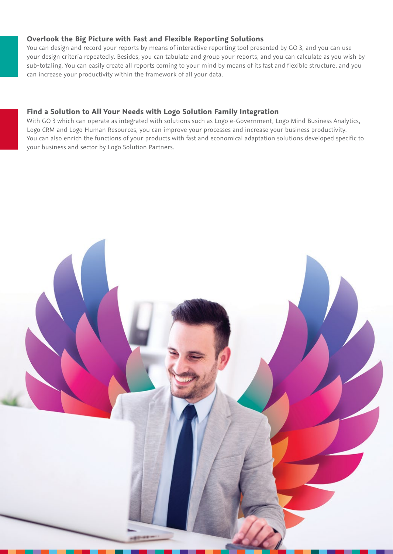# **Overlook the Big Picture with Fast and Flexible Reporting Solutions**

You can design and record your reports by means of interactive reporting tool presented by GO 3, and you can use your design criteria repeatedly. Besides, you can tabulate and group your reports, and you can calculate as you wish by sub-totaling. You can easily create all reports coming to your mind by means of its fast and flexible structure, and you can increase your productivity within the framework of all your data.

# **Find a Solution to All Your Needs with Logo Solution Family Integration**

With GO 3 which can operate as integrated with solutions such as Logo e-Government, Logo Mind Business Analytics, Logo CRM and Logo Human Resources, you can improve your processes and increase your business productivity. You can also enrich the functions of your products with fast and economical adaptation solutions developed specific to your business and sector by Logo Solution Partners.